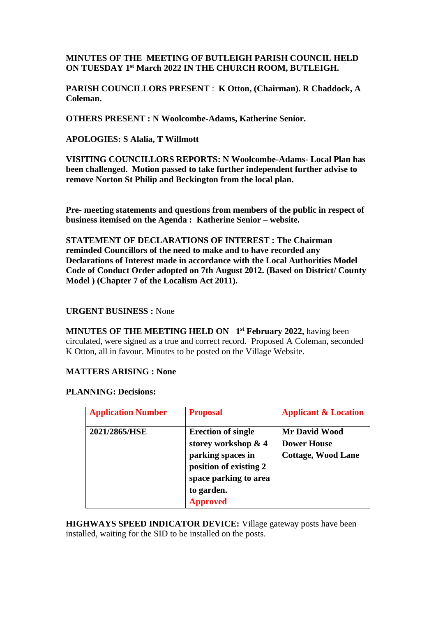# **MINUTES OF THE MEETING OF BUTLEIGH PARISH COUNCIL HELD ON TUESDAY 1 st March 2022 IN THE CHURCH ROOM, BUTLEIGH.**

**PARISH COUNCILLORS PRESENT** : **K Otton, (Chairman). R Chaddock, A Coleman.**

**OTHERS PRESENT : N Woolcombe-Adams, Katherine Senior.**

**APOLOGIES: S Alalia, T Willmott**

**VISITING COUNCILLORS REPORTS: N Woolcombe-Adams- Local Plan has been challenged. Motion passed to take further independent further advise to remove Norton St Philip and Beckington from the local plan.**

**Pre- meeting statements and questions from members of the public in respect of business itemised on the Agenda : Katherine Senior – website.**

**STATEMENT OF DECLARATIONS OF INTEREST : The Chairman reminded Councillors of the need to make and to have recorded any Declarations of Interest made in accordance with the Local Authorities Model Code of Conduct Order adopted on 7th August 2012. (Based on District/ County Model ) (Chapter 7 of the Localism Act 2011).**

### **URGENT BUSINESS :** None

**MINUTES OF THE MEETING HELD ON 1 st February 2022,** having been circulated, were signed as a true and correct record. Proposed A Coleman, seconded K Otton, all in favour. Minutes to be posted on the Village Website.

### **MATTERS ARISING : None**

### **PLANNING: Decisions:**

| <b>Application Number</b> | <b>Proposal</b>                                                                                                          | <b>Applicant &amp; Location</b>                                         |
|---------------------------|--------------------------------------------------------------------------------------------------------------------------|-------------------------------------------------------------------------|
| 2021/2865/HSE             | <b>Erection of single</b><br>storey workshop & 4<br>parking spaces in<br>position of existing 2<br>space parking to area | <b>Mr David Wood</b><br><b>Dower House</b><br><b>Cottage, Wood Lane</b> |
|                           | to garden.<br><b>Approved</b>                                                                                            |                                                                         |

**HIGHWAYS SPEED INDICATOR DEVICE:** Village gateway posts have been installed, waiting for the SID to be installed on the posts.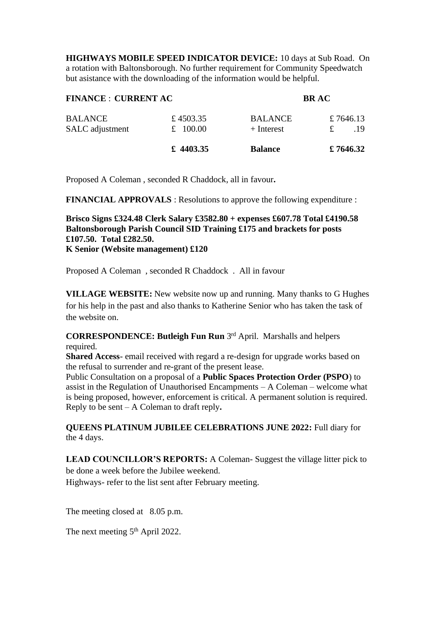**HIGHWAYS MOBILE SPEED INDICATOR DEVICE:** 10 days at Sub Road. On a rotation with Baltonsborough. No further requirement for Community Speedwatch but asistance with the downloading of the information would be helpful.

| <b>FINANCE : CURRENT AC</b> |            | <b>BRAC</b>    |           |
|-----------------------------|------------|----------------|-----------|
| <b>BALANCE</b>              | £4503.35   | <b>BALANCE</b> | £7646.13  |
| SALC adjustment             | £ $100.00$ | $+$ Interest   | 19        |
|                             | £ 4403.35  | <b>Balance</b> | £ 7646.32 |

Proposed A Coleman , seconded R Chaddock, all in favour**.**

**FINANCIAL APPROVALS** : Resolutions to approve the following expenditure :

**Brisco Signs £324.48 Clerk Salary £3582.80 + expenses £607.78 Total £4190.58 Baltonsborough Parish Council SID Training £175 and brackets for posts £107.50. Total £282.50. K Senior (Website management) £120**

Proposed A Coleman , seconded R Chaddock . All in favour

**VILLAGE WEBSITE:** New website now up and running. Many thanks to G Hughes for his help in the past and also thanks to Katherine Senior who has taken the task of the website on.

**CORRESPONDENCE: Butleigh Fun Run** 3 rd April. Marshalls and helpers required.

**Shared Access**- email received with regard a re-design for upgrade works based on the refusal to surrender and re-grant of the present lease.

Public Consultation on a proposal of a **Public Spaces Protection Order (PSPO**) to assist in the Regulation of Unauthorised Encampments – A Coleman – welcome what is being proposed, however, enforcement is critical. A permanent solution is required. Reply to be sent – A Coleman to draft reply**.**

## **QUEENS PLATINUM JUBILEE CELEBRATIONS JUNE 2022:** Full diary for the 4 days.

LEAD COUNCILLOR'S REPORTS: A Coleman-Suggest the village litter pick to be done a week before the Jubilee weekend.

Highways- refer to the list sent after February meeting.

The meeting closed at 8.05 p.m.

The next meeting 5<sup>th</sup> April 2022.